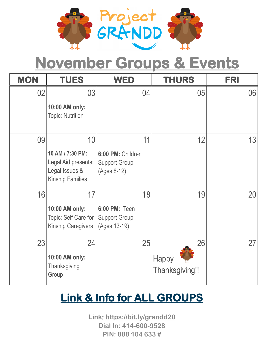

# **November Groups & Events**

| <b>MON</b> | <b>TUES</b>                                                                                | <b>WED</b>                                                     | <b>THURS</b>                  | <b>FRI</b> |
|------------|--------------------------------------------------------------------------------------------|----------------------------------------------------------------|-------------------------------|------------|
| 02         | 03<br>10:00 AM only:<br><b>Topic: Nutrition</b>                                            | 04                                                             | 05                            | 06         |
| 09         | 10<br>10 AM / 7:30 PM:<br>Legal Aid presents:<br>Legal Issues &<br><b>Kinship Families</b> | 11<br>6:00 PM: Children<br><b>Support Group</b><br>(Ages 8-12) | 12                            | 13         |
| 16         | 17<br>10:00 AM only:<br>Topic: Self Care for<br><b>Kinship Caregivers</b>                  | 18<br>6:00 PM: Teen<br><b>Support Group</b><br>(Ages 13-19)    | 19                            | 20         |
| 23         | 24<br>10:00 AM only:<br>Thanksgiving<br>Group                                              | 25                                                             | 26<br>Happy<br>Thanksgiving!! | 27         |

### **Link & Info for ALL GROUPS**

**Link: https://bit.ly/grandd20 Dial In: 414-600-9528 PIN: 888 104 633 #**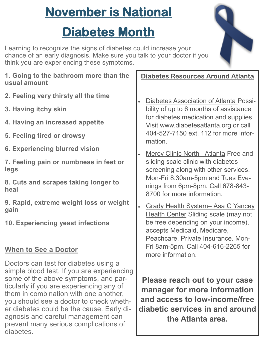## **November is National**

### **Diabetes Month**

Learning to recognize the signs of diabetes could increase your chance of an early diagnosis. Make sure you talk to your doctor if you think you are experiencing these symptoms.



- **2. Feeling very thirsty all the time**
- **3. Having itchy skin**
- **4. Having an increased appetite**
- **5. Feeling tired or drowsy**
- **6. Experiencing blurred vision**
- **7. Feeling pain or numbness in feet or legs**
- **8. Cuts and scrapes taking longer to heal**
- **9. Rapid, extreme weight loss or weight gain**
- **10. Experiencing yeast infections**

#### **When to See a Doctor**

Doctors can test for diabetes using a simple blood test. If you are experiencing some of the above symptoms, and particularly if you are experiencing any of them in combination with one another, you should see a doctor to check whether diabetes could be the cause. Early diagnosis and careful management can prevent many serious complications of diabetes.

**Diabetes Resources Around Atlanta**

- Diabetes Association of Atlanta Possibility of up to 6 months of assistance for diabetes medication and supplies. Visit www.diabetesatlanta.org or call 404-527-7150 ext. 112 for more information.
- Mercy Clinic North– Atlanta Free and sliding scale clinic with diabetes screening along with other services. Mon-Fri 8:30am-5pm and Tues Evenings from 6pm-8pm. Call 678-843- 8700 for more information.
- Grady Health System– Asa G Yancey Health Center Sliding scale (may not be free depending on your income), accepts Medicaid, Medicare, Peachcare, Private Insurance. Mon-Fri 8am-5pm. Call 404-616-2265 for more information.

**Please reach out to your case manager for more information and access to low-income/free diabetic services in and around the Atlanta area.**

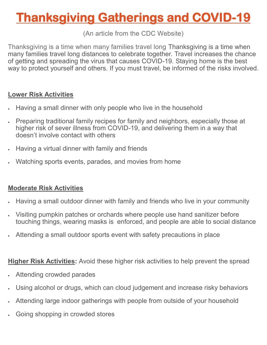## **Thanksgiving Gatherings and COVID-19**

#### (An article from the CDC Website)

Thanksgiving is a time when many families travel long Thanksgiving is a time when many families travel long distances to celebrate together. Travel increases the chance of getting and spreading the virus that causes COVID-19. Staying home is the best way to protect yourself and others. If you must travel, be informed of the risks involved.

#### **Lower Risk Activities**

- Having a small dinner with only people who live in the household
- Preparing traditional family recipes for family and neighbors, especially those at higher risk of sever illness from COVID-19, and delivering them in a way that doesn't involve contact with others
- Having a virtual dinner with family and friends
- Watching sports events, parades, and movies from home

#### **Moderate Risk Activities**

- Having a small outdoor dinner with family and friends who live in your community
- Visiting pumpkin patches or orchards where people use hand sanitizer before touching things, wearing masks is enforced, and people are able to social distance
- Attending a small outdoor sports event with safety precautions in place

#### **Higher Risk Activities:** Avoid these higher risk activities to help prevent the spread

- Attending crowded parades
- Using alcohol or drugs, which can cloud judgement and increase risky behaviors
- Attending large indoor gatherings with people from outside of your household
- Going shopping in crowded stores